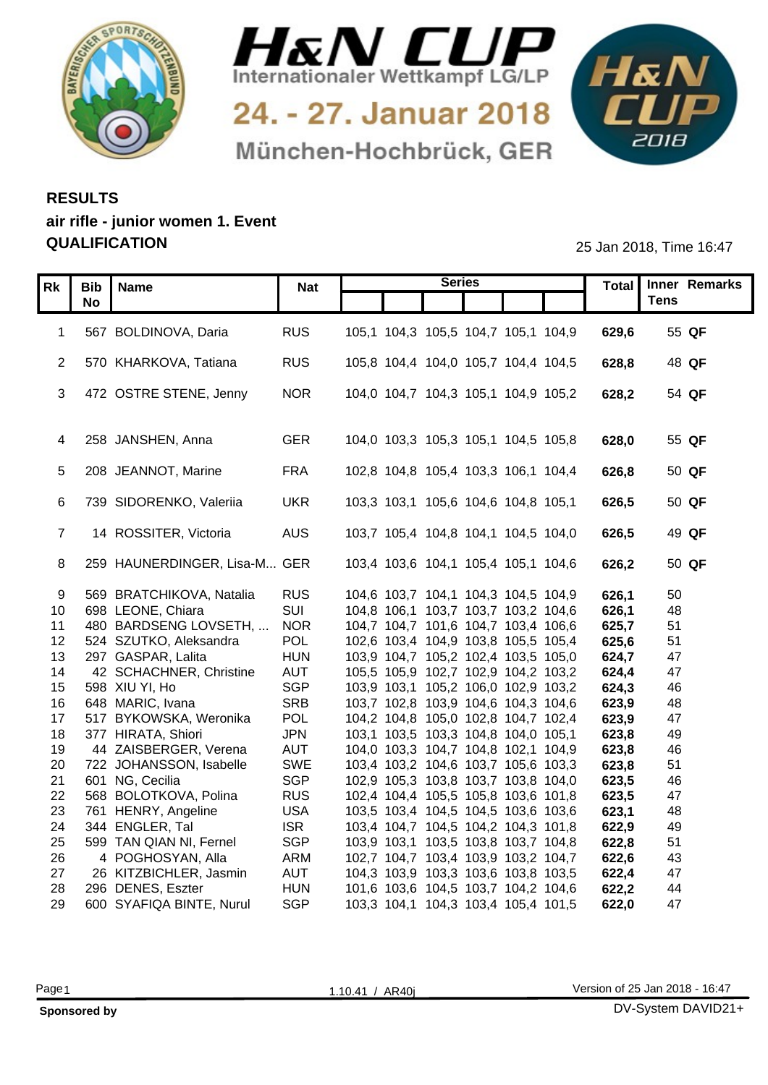



24. - 27. Januar 2018 München-Hochbrück, GER



## **RESULTS air rifle - junior women 1. Event QUALIFICATION** 25 Jan 2018, Time 16:47

| 1 567 BOLDINOVA, Daria<br><b>RUS</b><br>105,1 104,3 105,5 104,7 105,1 104,9<br>629,6<br>55 QF<br>2 570 KHARKOVA, Tatiana<br><b>RUS</b><br>105,8 104,4 104,0 105,7 104,4 104,5<br>628,8<br>48 QF<br>3 472 OSTRE STENE, Jenny<br><b>NOR</b><br>104,0 104,7 104,3 105,1 104,9 105,2<br>628,2<br>54 QF<br>4 258 JANSHEN, Anna<br><b>GER</b><br>104,0 103,3 105,3 105,1 104,5 105,8<br>628,0<br>55 QF<br><b>FRA</b><br>5 208 JEANNOT, Marine<br>102,8 104,8 105,4 103,3 106,1 104,4<br>626,8<br>50 QF<br>6 739 SIDORENKO, Valeriia<br><b>UKR</b><br>626,5<br>50 QF<br>103,3 103,1 105,6 104,6 104,8 105,1<br>14 ROSSITER, Victoria<br><b>AUS</b><br>103,7 105,4 104,8 104,1 104,5 104,0<br>626,5<br>49 QF<br>8 259 HAUNERDINGER, Lisa-M GER<br>103,4 103,6 104,1 105,4 105,1 104,6<br>626,2<br>50 QF<br>9 569 BRATCHIKOVA, Natalia<br><b>RUS</b><br>104,6 103,7 104,1 104,3 104,5 104,9<br>50<br>626,1<br>SUI<br>48<br>10 698 LEONE, Chiara<br>104,8 106,1 103,7 103,7 103,2 104,6<br>626,1<br>11 480 BARDSENG LOVSETH,<br><b>NOR</b><br>104,7 104,7 101,6 104,7 103,4 106,6<br>625,7<br>51<br><b>POL</b><br>12 524 SZUTKO, Aleksandra<br>102,6 103,4 104,9 103,8 105,5 105,4<br>625,6<br>51<br><b>HUN</b><br>103,9 104,7 105,2 102,4 103,5 105,0<br>47<br>13 297 GASPAR, Lalita<br>624,7<br>42 SCHACHNER, Christine<br><b>AUT</b><br>105,5 105,9 102,7 102,9 104,2 103,2<br>47<br>624,4<br>14<br><b>SGP</b><br>15 598 XIU YI, Ho<br>46<br>103,9 103,1 105,2 106,0 102,9 103,2<br>624,3<br><b>SRB</b><br>16 648 MARIC, Ivana<br>103,7 102,8 103,9 104,6 104,3 104,6<br>623,9<br>48<br>POL<br>17 517 BYKOWSKA, Weronika<br>104,2 104,8 105,0 102,8 104,7 102,4<br>623,9<br>47<br><b>JPN</b><br>18 377 HIRATA, Shiori<br>623,8<br>49<br>103,1 103,5 103,3 104,8 104,0 105,1<br>44 ZAISBERGER, Verena<br><b>AUT</b><br>104,0 103,3 104,7 104,8 102,1 104,9<br>623,8<br>46<br>19<br>SWE<br>20 722 JOHANSSON, Isabelle<br>623,8<br>51<br>103,4 103,2 104,6 103,7 105,6 103,3<br>21 601 NG, Cecilia<br><b>SGP</b><br>102,9 105,3 103,8 103,7 103,8 104,0<br>623,5<br>46<br>22 568 BOLOTKOVA, Polina<br><b>RUS</b><br>102,4 104,4 105,5 105,8 103,6 101,8<br>623,5<br>47<br><b>USA</b><br>48<br>23 761 HENRY, Angeline<br>103,5 103,4 104,5 104,5 103,6 103,6<br>623,1<br><b>ISR</b><br>24 344 ENGLER, Tal<br>103,4 104,7 104,5 104,2 104,3 101,8<br>622,9<br>49<br><b>SGP</b><br>25 599 TAN QIAN NI, Fernel<br>103,9 103,1 103,5 103,8 103,7 104,8<br>622,8<br>51<br>4 POGHOSYAN, Alla<br>ARM<br>102,7 104,7 103,4 103,9 103,2 104,7<br>43<br>622,6<br>26<br>26 KITZBICHLER, Jasmin<br><b>AUT</b><br>27<br>104,3 103,9 103,3 103,6 103,8 103,5<br>622,4<br>47<br><b>HUN</b><br>622,2<br>44<br>28 296 DENES, Eszter<br>101,6 103,6 104,5 103,7 104,2 104,6 | Rk   Bib   Name<br><b>No</b> | <b>Nat</b> | <b>Series</b> |       | Total   Inner Remarks<br><b>Tens</b> |
|------------------------------------------------------------------------------------------------------------------------------------------------------------------------------------------------------------------------------------------------------------------------------------------------------------------------------------------------------------------------------------------------------------------------------------------------------------------------------------------------------------------------------------------------------------------------------------------------------------------------------------------------------------------------------------------------------------------------------------------------------------------------------------------------------------------------------------------------------------------------------------------------------------------------------------------------------------------------------------------------------------------------------------------------------------------------------------------------------------------------------------------------------------------------------------------------------------------------------------------------------------------------------------------------------------------------------------------------------------------------------------------------------------------------------------------------------------------------------------------------------------------------------------------------------------------------------------------------------------------------------------------------------------------------------------------------------------------------------------------------------------------------------------------------------------------------------------------------------------------------------------------------------------------------------------------------------------------------------------------------------------------------------------------------------------------------------------------------------------------------------------------------------------------------------------------------------------------------------------------------------------------------------------------------------------------------------------------------------------------------------------------------------------------------------------------------------------------------------------------------------------------------------------------------------------------------------------------------------------------------------------------------------------------------------------------------------------------------------------------------|------------------------------|------------|---------------|-------|--------------------------------------|
|                                                                                                                                                                                                                                                                                                                                                                                                                                                                                                                                                                                                                                                                                                                                                                                                                                                                                                                                                                                                                                                                                                                                                                                                                                                                                                                                                                                                                                                                                                                                                                                                                                                                                                                                                                                                                                                                                                                                                                                                                                                                                                                                                                                                                                                                                                                                                                                                                                                                                                                                                                                                                                                                                                                                                |                              |            |               |       |                                      |
|                                                                                                                                                                                                                                                                                                                                                                                                                                                                                                                                                                                                                                                                                                                                                                                                                                                                                                                                                                                                                                                                                                                                                                                                                                                                                                                                                                                                                                                                                                                                                                                                                                                                                                                                                                                                                                                                                                                                                                                                                                                                                                                                                                                                                                                                                                                                                                                                                                                                                                                                                                                                                                                                                                                                                |                              |            |               |       |                                      |
|                                                                                                                                                                                                                                                                                                                                                                                                                                                                                                                                                                                                                                                                                                                                                                                                                                                                                                                                                                                                                                                                                                                                                                                                                                                                                                                                                                                                                                                                                                                                                                                                                                                                                                                                                                                                                                                                                                                                                                                                                                                                                                                                                                                                                                                                                                                                                                                                                                                                                                                                                                                                                                                                                                                                                |                              |            |               |       |                                      |
|                                                                                                                                                                                                                                                                                                                                                                                                                                                                                                                                                                                                                                                                                                                                                                                                                                                                                                                                                                                                                                                                                                                                                                                                                                                                                                                                                                                                                                                                                                                                                                                                                                                                                                                                                                                                                                                                                                                                                                                                                                                                                                                                                                                                                                                                                                                                                                                                                                                                                                                                                                                                                                                                                                                                                |                              |            |               |       |                                      |
|                                                                                                                                                                                                                                                                                                                                                                                                                                                                                                                                                                                                                                                                                                                                                                                                                                                                                                                                                                                                                                                                                                                                                                                                                                                                                                                                                                                                                                                                                                                                                                                                                                                                                                                                                                                                                                                                                                                                                                                                                                                                                                                                                                                                                                                                                                                                                                                                                                                                                                                                                                                                                                                                                                                                                |                              |            |               |       |                                      |
|                                                                                                                                                                                                                                                                                                                                                                                                                                                                                                                                                                                                                                                                                                                                                                                                                                                                                                                                                                                                                                                                                                                                                                                                                                                                                                                                                                                                                                                                                                                                                                                                                                                                                                                                                                                                                                                                                                                                                                                                                                                                                                                                                                                                                                                                                                                                                                                                                                                                                                                                                                                                                                                                                                                                                |                              |            |               |       |                                      |
|                                                                                                                                                                                                                                                                                                                                                                                                                                                                                                                                                                                                                                                                                                                                                                                                                                                                                                                                                                                                                                                                                                                                                                                                                                                                                                                                                                                                                                                                                                                                                                                                                                                                                                                                                                                                                                                                                                                                                                                                                                                                                                                                                                                                                                                                                                                                                                                                                                                                                                                                                                                                                                                                                                                                                |                              |            |               |       |                                      |
|                                                                                                                                                                                                                                                                                                                                                                                                                                                                                                                                                                                                                                                                                                                                                                                                                                                                                                                                                                                                                                                                                                                                                                                                                                                                                                                                                                                                                                                                                                                                                                                                                                                                                                                                                                                                                                                                                                                                                                                                                                                                                                                                                                                                                                                                                                                                                                                                                                                                                                                                                                                                                                                                                                                                                |                              |            |               |       |                                      |
|                                                                                                                                                                                                                                                                                                                                                                                                                                                                                                                                                                                                                                                                                                                                                                                                                                                                                                                                                                                                                                                                                                                                                                                                                                                                                                                                                                                                                                                                                                                                                                                                                                                                                                                                                                                                                                                                                                                                                                                                                                                                                                                                                                                                                                                                                                                                                                                                                                                                                                                                                                                                                                                                                                                                                |                              |            |               |       |                                      |
|                                                                                                                                                                                                                                                                                                                                                                                                                                                                                                                                                                                                                                                                                                                                                                                                                                                                                                                                                                                                                                                                                                                                                                                                                                                                                                                                                                                                                                                                                                                                                                                                                                                                                                                                                                                                                                                                                                                                                                                                                                                                                                                                                                                                                                                                                                                                                                                                                                                                                                                                                                                                                                                                                                                                                |                              |            |               |       |                                      |
|                                                                                                                                                                                                                                                                                                                                                                                                                                                                                                                                                                                                                                                                                                                                                                                                                                                                                                                                                                                                                                                                                                                                                                                                                                                                                                                                                                                                                                                                                                                                                                                                                                                                                                                                                                                                                                                                                                                                                                                                                                                                                                                                                                                                                                                                                                                                                                                                                                                                                                                                                                                                                                                                                                                                                |                              |            |               |       |                                      |
|                                                                                                                                                                                                                                                                                                                                                                                                                                                                                                                                                                                                                                                                                                                                                                                                                                                                                                                                                                                                                                                                                                                                                                                                                                                                                                                                                                                                                                                                                                                                                                                                                                                                                                                                                                                                                                                                                                                                                                                                                                                                                                                                                                                                                                                                                                                                                                                                                                                                                                                                                                                                                                                                                                                                                |                              |            |               |       |                                      |
|                                                                                                                                                                                                                                                                                                                                                                                                                                                                                                                                                                                                                                                                                                                                                                                                                                                                                                                                                                                                                                                                                                                                                                                                                                                                                                                                                                                                                                                                                                                                                                                                                                                                                                                                                                                                                                                                                                                                                                                                                                                                                                                                                                                                                                                                                                                                                                                                                                                                                                                                                                                                                                                                                                                                                |                              |            |               |       |                                      |
|                                                                                                                                                                                                                                                                                                                                                                                                                                                                                                                                                                                                                                                                                                                                                                                                                                                                                                                                                                                                                                                                                                                                                                                                                                                                                                                                                                                                                                                                                                                                                                                                                                                                                                                                                                                                                                                                                                                                                                                                                                                                                                                                                                                                                                                                                                                                                                                                                                                                                                                                                                                                                                                                                                                                                |                              |            |               |       |                                      |
|                                                                                                                                                                                                                                                                                                                                                                                                                                                                                                                                                                                                                                                                                                                                                                                                                                                                                                                                                                                                                                                                                                                                                                                                                                                                                                                                                                                                                                                                                                                                                                                                                                                                                                                                                                                                                                                                                                                                                                                                                                                                                                                                                                                                                                                                                                                                                                                                                                                                                                                                                                                                                                                                                                                                                |                              |            |               |       |                                      |
|                                                                                                                                                                                                                                                                                                                                                                                                                                                                                                                                                                                                                                                                                                                                                                                                                                                                                                                                                                                                                                                                                                                                                                                                                                                                                                                                                                                                                                                                                                                                                                                                                                                                                                                                                                                                                                                                                                                                                                                                                                                                                                                                                                                                                                                                                                                                                                                                                                                                                                                                                                                                                                                                                                                                                |                              |            |               |       |                                      |
|                                                                                                                                                                                                                                                                                                                                                                                                                                                                                                                                                                                                                                                                                                                                                                                                                                                                                                                                                                                                                                                                                                                                                                                                                                                                                                                                                                                                                                                                                                                                                                                                                                                                                                                                                                                                                                                                                                                                                                                                                                                                                                                                                                                                                                                                                                                                                                                                                                                                                                                                                                                                                                                                                                                                                |                              |            |               |       |                                      |
|                                                                                                                                                                                                                                                                                                                                                                                                                                                                                                                                                                                                                                                                                                                                                                                                                                                                                                                                                                                                                                                                                                                                                                                                                                                                                                                                                                                                                                                                                                                                                                                                                                                                                                                                                                                                                                                                                                                                                                                                                                                                                                                                                                                                                                                                                                                                                                                                                                                                                                                                                                                                                                                                                                                                                |                              |            |               |       |                                      |
|                                                                                                                                                                                                                                                                                                                                                                                                                                                                                                                                                                                                                                                                                                                                                                                                                                                                                                                                                                                                                                                                                                                                                                                                                                                                                                                                                                                                                                                                                                                                                                                                                                                                                                                                                                                                                                                                                                                                                                                                                                                                                                                                                                                                                                                                                                                                                                                                                                                                                                                                                                                                                                                                                                                                                |                              |            |               |       |                                      |
|                                                                                                                                                                                                                                                                                                                                                                                                                                                                                                                                                                                                                                                                                                                                                                                                                                                                                                                                                                                                                                                                                                                                                                                                                                                                                                                                                                                                                                                                                                                                                                                                                                                                                                                                                                                                                                                                                                                                                                                                                                                                                                                                                                                                                                                                                                                                                                                                                                                                                                                                                                                                                                                                                                                                                |                              |            |               |       |                                      |
|                                                                                                                                                                                                                                                                                                                                                                                                                                                                                                                                                                                                                                                                                                                                                                                                                                                                                                                                                                                                                                                                                                                                                                                                                                                                                                                                                                                                                                                                                                                                                                                                                                                                                                                                                                                                                                                                                                                                                                                                                                                                                                                                                                                                                                                                                                                                                                                                                                                                                                                                                                                                                                                                                                                                                |                              |            |               |       |                                      |
|                                                                                                                                                                                                                                                                                                                                                                                                                                                                                                                                                                                                                                                                                                                                                                                                                                                                                                                                                                                                                                                                                                                                                                                                                                                                                                                                                                                                                                                                                                                                                                                                                                                                                                                                                                                                                                                                                                                                                                                                                                                                                                                                                                                                                                                                                                                                                                                                                                                                                                                                                                                                                                                                                                                                                |                              |            |               |       |                                      |
|                                                                                                                                                                                                                                                                                                                                                                                                                                                                                                                                                                                                                                                                                                                                                                                                                                                                                                                                                                                                                                                                                                                                                                                                                                                                                                                                                                                                                                                                                                                                                                                                                                                                                                                                                                                                                                                                                                                                                                                                                                                                                                                                                                                                                                                                                                                                                                                                                                                                                                                                                                                                                                                                                                                                                |                              |            |               |       |                                      |
|                                                                                                                                                                                                                                                                                                                                                                                                                                                                                                                                                                                                                                                                                                                                                                                                                                                                                                                                                                                                                                                                                                                                                                                                                                                                                                                                                                                                                                                                                                                                                                                                                                                                                                                                                                                                                                                                                                                                                                                                                                                                                                                                                                                                                                                                                                                                                                                                                                                                                                                                                                                                                                                                                                                                                |                              |            |               |       |                                      |
|                                                                                                                                                                                                                                                                                                                                                                                                                                                                                                                                                                                                                                                                                                                                                                                                                                                                                                                                                                                                                                                                                                                                                                                                                                                                                                                                                                                                                                                                                                                                                                                                                                                                                                                                                                                                                                                                                                                                                                                                                                                                                                                                                                                                                                                                                                                                                                                                                                                                                                                                                                                                                                                                                                                                                |                              |            |               |       |                                      |
|                                                                                                                                                                                                                                                                                                                                                                                                                                                                                                                                                                                                                                                                                                                                                                                                                                                                                                                                                                                                                                                                                                                                                                                                                                                                                                                                                                                                                                                                                                                                                                                                                                                                                                                                                                                                                                                                                                                                                                                                                                                                                                                                                                                                                                                                                                                                                                                                                                                                                                                                                                                                                                                                                                                                                |                              |            |               |       |                                      |
|                                                                                                                                                                                                                                                                                                                                                                                                                                                                                                                                                                                                                                                                                                                                                                                                                                                                                                                                                                                                                                                                                                                                                                                                                                                                                                                                                                                                                                                                                                                                                                                                                                                                                                                                                                                                                                                                                                                                                                                                                                                                                                                                                                                                                                                                                                                                                                                                                                                                                                                                                                                                                                                                                                                                                |                              |            |               |       |                                      |
|                                                                                                                                                                                                                                                                                                                                                                                                                                                                                                                                                                                                                                                                                                                                                                                                                                                                                                                                                                                                                                                                                                                                                                                                                                                                                                                                                                                                                                                                                                                                                                                                                                                                                                                                                                                                                                                                                                                                                                                                                                                                                                                                                                                                                                                                                                                                                                                                                                                                                                                                                                                                                                                                                                                                                |                              |            |               |       |                                      |
|                                                                                                                                                                                                                                                                                                                                                                                                                                                                                                                                                                                                                                                                                                                                                                                                                                                                                                                                                                                                                                                                                                                                                                                                                                                                                                                                                                                                                                                                                                                                                                                                                                                                                                                                                                                                                                                                                                                                                                                                                                                                                                                                                                                                                                                                                                                                                                                                                                                                                                                                                                                                                                                                                                                                                |                              |            |               |       |                                      |
|                                                                                                                                                                                                                                                                                                                                                                                                                                                                                                                                                                                                                                                                                                                                                                                                                                                                                                                                                                                                                                                                                                                                                                                                                                                                                                                                                                                                                                                                                                                                                                                                                                                                                                                                                                                                                                                                                                                                                                                                                                                                                                                                                                                                                                                                                                                                                                                                                                                                                                                                                                                                                                                                                                                                                |                              |            |               |       |                                      |
|                                                                                                                                                                                                                                                                                                                                                                                                                                                                                                                                                                                                                                                                                                                                                                                                                                                                                                                                                                                                                                                                                                                                                                                                                                                                                                                                                                                                                                                                                                                                                                                                                                                                                                                                                                                                                                                                                                                                                                                                                                                                                                                                                                                                                                                                                                                                                                                                                                                                                                                                                                                                                                                                                                                                                |                              |            |               |       |                                      |
|                                                                                                                                                                                                                                                                                                                                                                                                                                                                                                                                                                                                                                                                                                                                                                                                                                                                                                                                                                                                                                                                                                                                                                                                                                                                                                                                                                                                                                                                                                                                                                                                                                                                                                                                                                                                                                                                                                                                                                                                                                                                                                                                                                                                                                                                                                                                                                                                                                                                                                                                                                                                                                                                                                                                                |                              |            |               |       |                                      |
|                                                                                                                                                                                                                                                                                                                                                                                                                                                                                                                                                                                                                                                                                                                                                                                                                                                                                                                                                                                                                                                                                                                                                                                                                                                                                                                                                                                                                                                                                                                                                                                                                                                                                                                                                                                                                                                                                                                                                                                                                                                                                                                                                                                                                                                                                                                                                                                                                                                                                                                                                                                                                                                                                                                                                |                              |            |               |       |                                      |
|                                                                                                                                                                                                                                                                                                                                                                                                                                                                                                                                                                                                                                                                                                                                                                                                                                                                                                                                                                                                                                                                                                                                                                                                                                                                                                                                                                                                                                                                                                                                                                                                                                                                                                                                                                                                                                                                                                                                                                                                                                                                                                                                                                                                                                                                                                                                                                                                                                                                                                                                                                                                                                                                                                                                                |                              |            |               |       |                                      |
|                                                                                                                                                                                                                                                                                                                                                                                                                                                                                                                                                                                                                                                                                                                                                                                                                                                                                                                                                                                                                                                                                                                                                                                                                                                                                                                                                                                                                                                                                                                                                                                                                                                                                                                                                                                                                                                                                                                                                                                                                                                                                                                                                                                                                                                                                                                                                                                                                                                                                                                                                                                                                                                                                                                                                |                              |            |               |       |                                      |
| 103,3 104,1 104,3 103,4 105,4 101,5                                                                                                                                                                                                                                                                                                                                                                                                                                                                                                                                                                                                                                                                                                                                                                                                                                                                                                                                                                                                                                                                                                                                                                                                                                                                                                                                                                                                                                                                                                                                                                                                                                                                                                                                                                                                                                                                                                                                                                                                                                                                                                                                                                                                                                                                                                                                                                                                                                                                                                                                                                                                                                                                                                            | 29 600 SYAFIQA BINTE, Nurul  | <b>SGP</b> |               | 622,0 | 47                                   |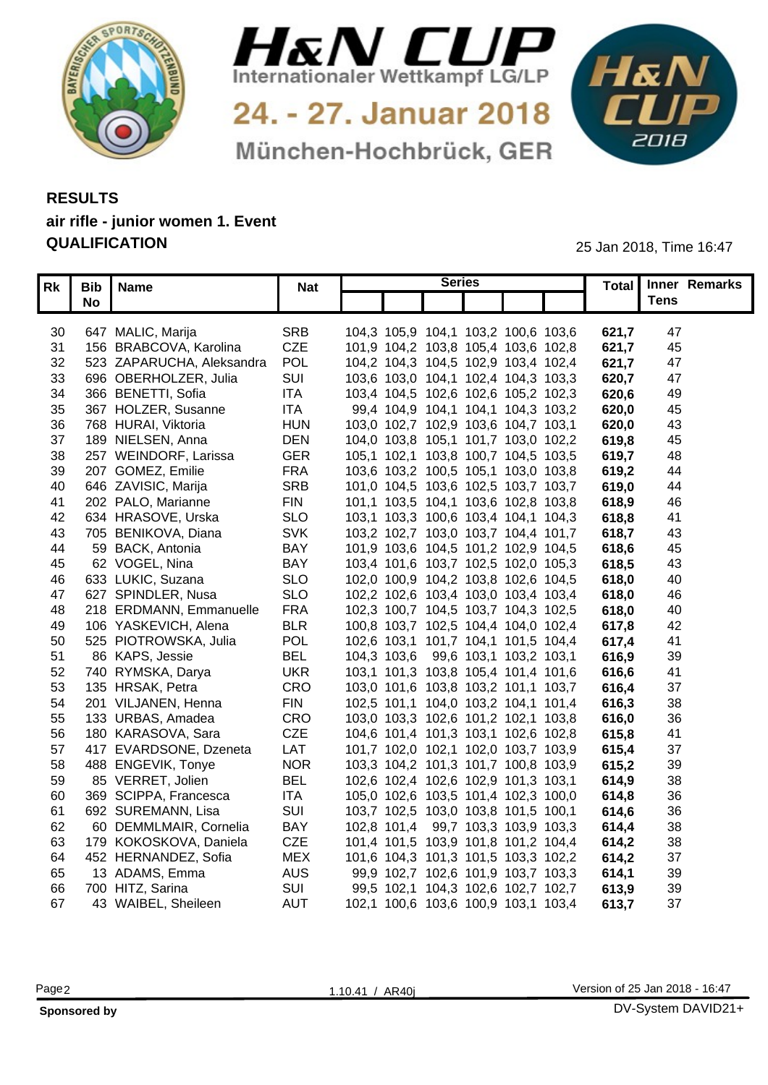



24. - 27. Januar 2018 München-Hochbrück, GER



## **RESULTS air rifle - junior women 1. Event QUALIFICATION** 25 Jan 2018, Time 16:47

| Rk       | Bib Name                  | <b>Nat</b> | <b>Series</b>                       |  |       | Total Inner Remarks |  |
|----------|---------------------------|------------|-------------------------------------|--|-------|---------------------|--|
|          | No                        |            |                                     |  |       | <b>Tens</b>         |  |
|          |                           |            |                                     |  |       |                     |  |
|          | 30 647 MALIC, Marija      | <b>SRB</b> | 104,3 105,9 104,1 103,2 100,6 103,6 |  | 621,7 | 47                  |  |
| 31       | 156 BRABCOVA, Karolina    | <b>CZE</b> | 101,9 104,2 103,8 105,4 103,6 102,8 |  | 621,7 | 45                  |  |
| 32       | 523 ZAPARUCHA, Aleksandra | POL        | 104,2 104,3 104,5 102,9 103,4 102,4 |  | 621,7 | -47                 |  |
| 33       | 696 OBERHOLZER, Julia     | SUI        | 103,6 103,0 104,1 102,4 104,3 103,3 |  | 620,7 | 47                  |  |
| 34       | 366 BENETTI, Sofia        | <b>ITA</b> | 103,4 104,5 102,6 102,6 105,2 102,3 |  | 620,6 | 49                  |  |
| 35       | 367 HOLZER, Susanne       | <b>ITA</b> | 99,4 104,9 104,1 104,1 104,3 103,2  |  | 620,0 | 45                  |  |
|          | 36 768 HURAI, Viktoria    | <b>HUN</b> | 103,0 102,7 102,9 103,6 104,7 103,1 |  | 620,0 | 43                  |  |
| 37       | 189 NIELSEN, Anna         | <b>DEN</b> | 104,0 103,8 105,1 101,7 103,0 102,2 |  | 619,8 | 45                  |  |
| 38       | 257 WEINDORF, Larissa     | <b>GER</b> | 105,1 102,1 103,8 100,7 104,5 103,5 |  | 619,7 | 48                  |  |
| 39       | 207 GOMEZ, Emilie         | <b>FRA</b> | 103,6 103,2 100,5 105,1 103,0 103,8 |  | 619,2 | 44                  |  |
| 40       | 646 ZAVISIC, Marija       | <b>SRE</b> | 101,0 104,5 103,6 102,5 103,7 103,7 |  | 619,0 | 44                  |  |
|          | 41 202 PALO, Marianne     | <b>FIN</b> | 101,1 103,5 104,1 103,6 102,8 103,8 |  | 618,9 | 46                  |  |
| 42       | 634 HRASOVE, Urska        | <b>SLO</b> | 103,1 103,3 100,6 103,4 104,1 104,3 |  | 618,8 |                     |  |
| 43       | 705 BENIKOVA, Diana       | <b>SVK</b> | 103,2 102,7 103,0 103,7 104,4 101,7 |  | 618,7 | 43                  |  |
| 44       | 59 BACK, Antonia          | <b>BAY</b> | 101,9 103,6 104,5 101,2 102,9 104,5 |  | 618,6 | 45                  |  |
| 45       | 62 VOGEL, Nina            | <b>BAY</b> | 103,4 101,6 103,7 102,5 102,0 105,3 |  | 618,5 | 4 <sup>°</sup>      |  |
| 46       | 633 LUKIC, Suzana         | <b>SLO</b> | 102,0 100,9 104,2 103,8 102,6 104,5 |  | 618,0 | 4 <sub>0</sub>      |  |
| 47       | 627 SPINDLER, Nusa        | <b>SLO</b> | 102,2 102,6 103,4 103,0 103,4 103,4 |  | 618,0 | 46                  |  |
| 48       | 218 ERDMANN, Emmanuelle   | <b>FRA</b> | 102,3 100,7 104,5 103,7 104,3 102,5 |  | 618,0 | 40                  |  |
| 49       | 106 YASKEVICH, Alena      | <b>BLR</b> | 100,8 103,7 102,5 104,4 104,0 102,4 |  | 617,8 | 42                  |  |
| 50       | 525 PIOTROWSKA, Julia     | <b>POL</b> | 102,6 103,1 101,7 104,1 101,5 104,4 |  | 617,4 |                     |  |
| 51       | 86 KAPS, Jessie           | <b>BEL</b> | 104,3 103,6 99,6 103,1 103,2 103,1  |  | 616,9 | 39                  |  |
| 52       | 740 RYMSKA, Darya         | <b>UKR</b> | 103,1 101,3 103,8 105,4 101,4 101,6 |  | 616,6 |                     |  |
| 53       | 135 HRSAK, Petra          | <b>CRC</b> | 103,0 101,6 103,8 103,2 101,1 103,7 |  | 616,4 |                     |  |
|          | 54 201 VILJANEN, Henna    | <b>FIN</b> | 102,5 101,1 104,0 103,2 104,1 101,4 |  | 616,3 | 38                  |  |
| 55       | 133 URBAS, Amadea         | CRC        | 103,0 103,3 102,6 101,2 102,1 103,8 |  | 616,0 | 36                  |  |
| 56       | 180 KARASOVA, Sara        | <b>CZE</b> | 104,6 101,4 101,3 103,1 102,6 102,8 |  | 615,8 |                     |  |
| 57       | 417 EVARDSONE, Dzeneta    | LAT        | 101,7 102,0 102,1 102,0 103,7 103,9 |  | 615,4 | 37                  |  |
| 58       | 488 ENGEVIK, Tonye        | <b>NOR</b> | 103,3 104,2 101,3 101,7 100,8 103,9 |  | 615,2 | 39                  |  |
| 59       | 85 VERRET, Jolien         | <b>BEL</b> | 102,6 102,4 102,6 102,9 101,3 103,1 |  | 614,9 | 38                  |  |
| 60       | 369 SCIPPA, Francesca     | <b>ITA</b> | 105,0 102,6 103,5 101,4 102,3 100,0 |  | 614,8 | 36                  |  |
| 61       | 692 SUREMANN, Lisa        | SUI        | 103,7 102,5 103,0 103,8 101,5 100,1 |  | 614,6 | 36                  |  |
|          | 60 DEMMLMAIR, Cornelia    | <b>BAY</b> | 102,8 101,4 99,7 103,3 103,9 103,3  |  | 614,4 | 38                  |  |
| 62<br>63 | 179 KOKOSKOVA, Daniela    | CZE        | 101,4 101,5 103,9 101,8 101,2 104,4 |  | 614,2 | 38                  |  |
|          | 452 HERNANDEZ, Sofia      | <b>MEX</b> | 101,6 104,3 101,3 101,5 103,3 102,2 |  |       | 37                  |  |
| 64       | 13 ADAMS, Emma            | <b>AUS</b> |                                     |  | 614,2 | 39                  |  |
| 65       |                           |            | 99,9 102,7 102,6 101,9 103,7 103,3  |  | 614,  |                     |  |
| 66       | 700 HITZ, Sarina          | SUI        | 99,5 102,1 104,3 102,6 102,7 102,7  |  | 613,9 | 39                  |  |
| 67       | 43 WAIBEL, Sheileen       | AUT        | 102,1 100,6 103,6 100,9 103,1 103,4 |  | 613,7 | 37                  |  |